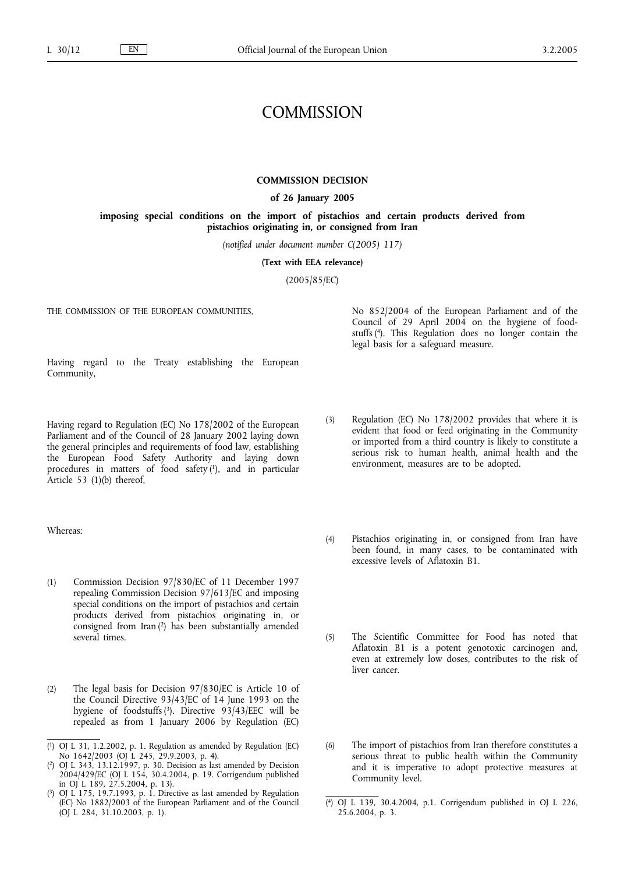# **COMMISSION**

#### **COMMISSION DECISION**

#### **of 26 January 2005**

**imposing special conditions on the import of pistachios and certain products derived from pistachios originating in, or consigned from Iran**

*(notified under document number C(2005) 117)*

**(Text with EEA relevance)**

(2005/85/EC)

THE COMMISSION OF THE EUROPEAN COMMUNITIES,

No 852/2004 of the European Parliament and of the Council of 29 April 2004 on the hygiene of foodstuffs (4). This Regulation does no longer contain the legal basis for a safeguard measure.

Having regard to the Treaty establishing the European Community,

Having regard to Regulation (EC) No 178/2002 of the European Parliament and of the Council of 28 January 2002 laying down the general principles and requirements of food law, establishing the European Food Safety Authority and laying down procedures in matters of food safety (1), and in particular Article 53 (1)(b) thereof,

Whereas:

- (1) Commission Decision 97/830/EC of 11 December 1997 repealing Commission Decision 97/613/EC and imposing special conditions on the import of pistachios and certain products derived from pistachios originating in, or consigned from Iran (2) has been substantially amended several times.
- (2) The legal basis for Decision 97/830/EC is Article 10 of the Council Directive 93/43/EC of 14 June 1993 on the hygiene of foodstuffs (3). Directive 93/43/EEC will be repealed as from 1 January 2006 by Regulation (EC)

- ( 2) OJ L 343, 13.12.1997, p. 30. Decision as last amended by Decision 2004/429/EC (OJ L 154, 30.4.2004, p. 19. Corrigendum published in OJ L 189,  $27.5.2004$ , p. 13).
- $(3)$ 3) OJ L 175, 19.7.1993, p. 1. Directive as last amended by Regulation (EC) No 1882/2003 of the European Parliament and of the Council (OJ L 284, 31.10.2003, p. 1).
- (3) Regulation (EC) No 178/2002 provides that where it is evident that food or feed originating in the Community or imported from a third country is likely to constitute a serious risk to human health, animal health and the environment, measures are to be adopted.
- (4) Pistachios originating in, or consigned from Iran have been found, in many cases, to be contaminated with excessive levels of Aflatoxin B1.
- (5) The Scientific Committee for Food has noted that Aflatoxin B1 is a potent genotoxic carcinogen and, even at extremely low doses, contributes to the risk of liver cancer.
- (6) The import of pistachios from Iran therefore constitutes a serious threat to public health within the Community and it is imperative to adopt protective measures at Community level.
- ( 4) OJ L 139, 30.4.2004, p.1. Corrigendum published in OJ L 226, 25.6.2004, p. 3.

<sup>(</sup> 1) OJ L 31, 1.2.2002, p. 1. Regulation as amended by Regulation (EC) No 1642/2003 (OJ L 245, 29.9.2003, p. 4).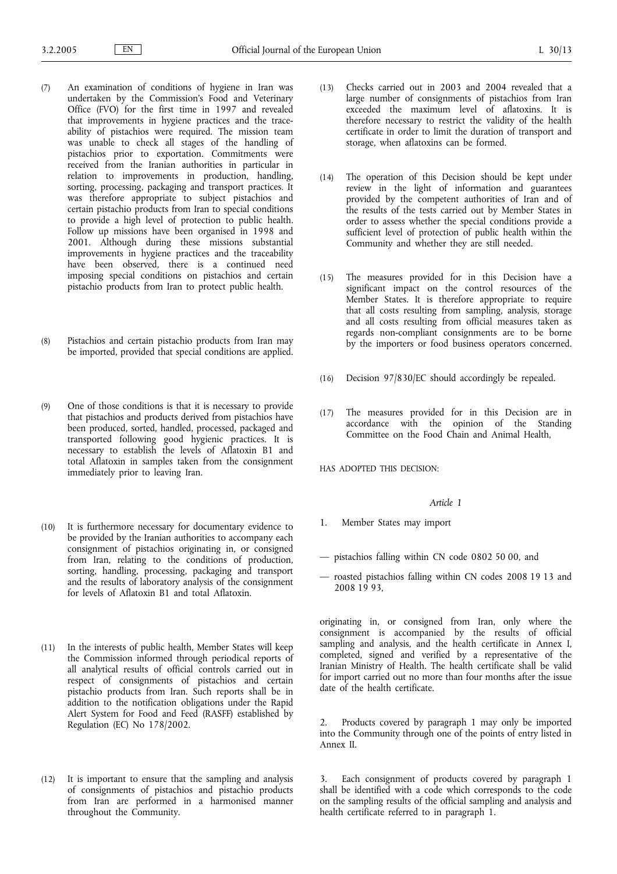- (7) An examination of conditions of hygiene in Iran was undertaken by the Commission's Food and Veterinary Office (FVO) for the first time in 1997 and revealed that improvements in hygiene practices and the traceability of pistachios were required. The mission team was unable to check all stages of the handling of pistachios prior to exportation. Commitments were received from the Iranian authorities in particular in relation to improvements in production, handling, sorting, processing, packaging and transport practices. It was therefore appropriate to subject pistachios and certain pistachio products from Iran to special conditions to provide a high level of protection to public health. Follow up missions have been organised in 1998 and 2001. Although during these missions substantial improvements in hygiene practices and the traceability have been observed, there is a continued need imposing special conditions on pistachios and certain pistachio products from Iran to protect public health.
- (8) Pistachios and certain pistachio products from Iran may be imported, provided that special conditions are applied.
- (9) One of those conditions is that it is necessary to provide that pistachios and products derived from pistachios have been produced, sorted, handled, processed, packaged and transported following good hygienic practices. It is necessary to establish the levels of Aflatoxin B1 and total Aflatoxin in samples taken from the consignment immediately prior to leaving Iran.
- (10) It is furthermore necessary for documentary evidence to be provided by the Iranian authorities to accompany each consignment of pistachios originating in, or consigned from Iran, relating to the conditions of production, sorting, handling, processing, packaging and transport and the results of laboratory analysis of the consignment for levels of Aflatoxin B1 and total Aflatoxin.
- (11) In the interests of public health, Member States will keep the Commission informed through periodical reports of all analytical results of official controls carried out in respect of consignments of pistachios and certain pistachio products from Iran. Such reports shall be in addition to the notification obligations under the Rapid Alert System for Food and Feed (RASFF) established by Regulation (EC) No 178/2002.
- (12) It is important to ensure that the sampling and analysis of consignments of pistachios and pistachio products from Iran are performed in a harmonised manner throughout the Community.
- (13) Checks carried out in 2003 and 2004 revealed that a large number of consignments of pistachios from Iran exceeded the maximum level of aflatoxins. It is therefore necessary to restrict the validity of the health certificate in order to limit the duration of transport and storage, when aflatoxins can be formed.
- (14) The operation of this Decision should be kept under review in the light of information and guarantees provided by the competent authorities of Iran and of the results of the tests carried out by Member States in order to assess whether the special conditions provide a sufficient level of protection of public health within the Community and whether they are still needed.
- (15) The measures provided for in this Decision have a significant impact on the control resources of the Member States. It is therefore appropriate to require that all costs resulting from sampling, analysis, storage and all costs resulting from official measures taken as regards non-compliant consignments are to be borne by the importers or food business operators concerned.
- (16) Decision 97/830/EC should accordingly be repealed.
- (17) The measures provided for in this Decision are in accordance with the opinion of the Standing Committee on the Food Chain and Animal Health,

HAS ADOPTED THIS DECISION:

#### *Article 1*

- 1. Member States may import
- pistachios falling within CN code 0802 50 00, and
- roasted pistachios falling within CN codes 2008 19 13 and 2008 19 93,

originating in, or consigned from Iran, only where the consignment is accompanied by the results of official sampling and analysis, and the health certificate in Annex I, completed, signed and verified by a representative of the Iranian Ministry of Health. The health certificate shall be valid for import carried out no more than four months after the issue date of the health certificate.

2. Products covered by paragraph 1 may only be imported into the Community through one of the points of entry listed in Annex II.

3. Each consignment of products covered by paragraph 1 shall be identified with a code which corresponds to the code on the sampling results of the official sampling and analysis and health certificate referred to in paragraph 1.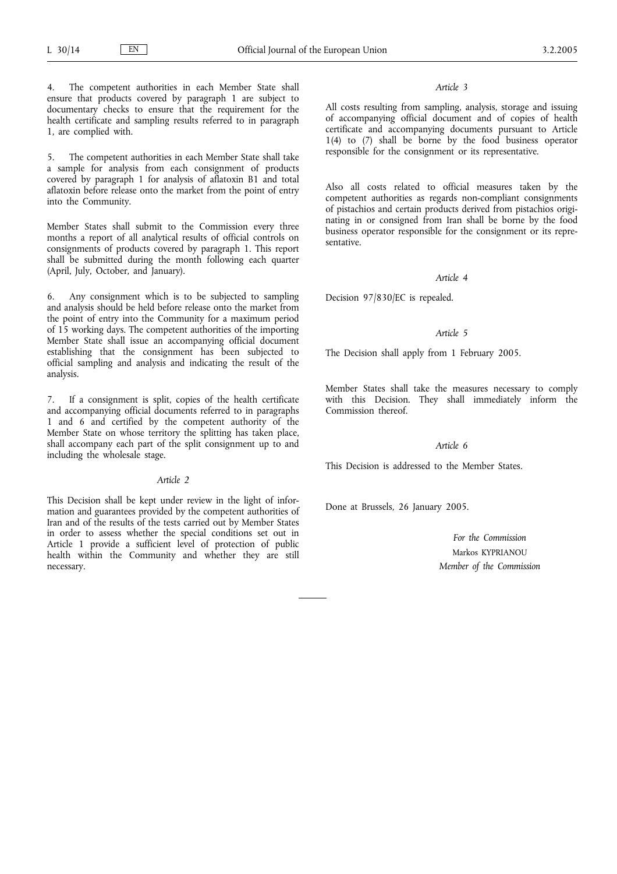4. The competent authorities in each Member State shall ensure that products covered by paragraph 1 are subject to documentary checks to ensure that the requirement for the health certificate and sampling results referred to in paragraph 1, are complied with.

5. The competent authorities in each Member State shall take a sample for analysis from each consignment of products covered by paragraph 1 for analysis of aflatoxin B1 and total aflatoxin before release onto the market from the point of entry into the Community.

Member States shall submit to the Commission every three months a report of all analytical results of official controls on consignments of products covered by paragraph 1. This report shall be submitted during the month following each quarter (April, July, October, and January).

6. Any consignment which is to be subjected to sampling and analysis should be held before release onto the market from the point of entry into the Community for a maximum period of 15 working days. The competent authorities of the importing Member State shall issue an accompanying official document establishing that the consignment has been subjected to official sampling and analysis and indicating the result of the analysis.

7. If a consignment is split, copies of the health certificate and accompanying official documents referred to in paragraphs 1 and 6 and certified by the competent authority of the Member State on whose territory the splitting has taken place, shall accompany each part of the split consignment up to and including the wholesale stage.

#### *Article 2*

This Decision shall be kept under review in the light of information and guarantees provided by the competent authorities of Iran and of the results of the tests carried out by Member States in order to assess whether the special conditions set out in Article 1 provide a sufficient level of protection of public health within the Community and whether they are still necessary.

### *Article 3*

All costs resulting from sampling, analysis, storage and issuing of accompanying official document and of copies of health certificate and accompanying documents pursuant to Article 1(4) to (7) shall be borne by the food business operator responsible for the consignment or its representative.

Also all costs related to official measures taken by the competent authorities as regards non-compliant consignments of pistachios and certain products derived from pistachios originating in or consigned from Iran shall be borne by the food business operator responsible for the consignment or its representative.

# *Article 4*

Decision 97/830/EC is repealed.

# *Article 5*

The Decision shall apply from 1 February 2005.

Member States shall take the measures necessary to comply with this Decision. They shall immediately inform the Commission thereof.

#### *Article 6*

This Decision is addressed to the Member States.

Done at Brussels, 26 January 2005.

*For the Commission* Markos KYPRIANOU *Member of the Commission*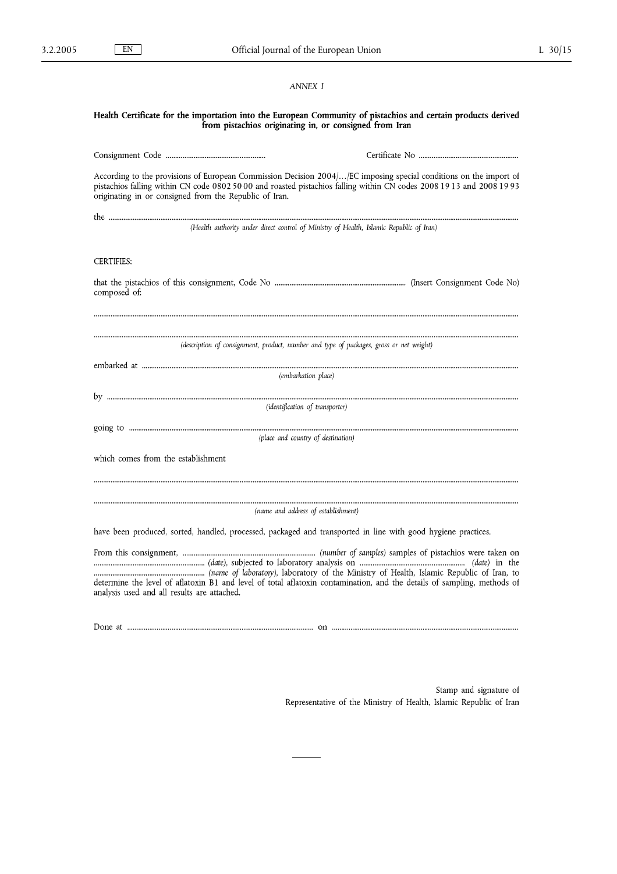# *ANNEX I*

#### Health Certificate for the importation into the European Community of pistachios and certain products derived from pistachios originating in, or consigned from Iran

According to the provisions of European Commission Decision 2004/... [EC imposing special conditions on the import of pistachios falling within CN code 0802 50 00 and roasted pistachios falling within CN codes 2008 19 13 and 2008 19 93 originating in or consigned from the Republic of Iran.

(Health authority under direct control of Ministry of Health, Islamic Republic of Iran)

# **CERTIFIES:**

composed of:

(description of consignment, product, number and type of packages, gross or net weight)

(embarkation place)

(identification of transporter)

(place and country of destination)

which comes from the establishment

(name and address of establishment)

have been produced, sorted, handled, processed, packaged and transported in line with good hygiene practices.

From this consignment, ................ determine the level of aflatoxin B1 and level of total aflatoxin contamination, and the details of sampling, methods of analysis used and all results are attached.

Stamp and signature of Representative of the Ministry of Health, Islamic Republic of Iran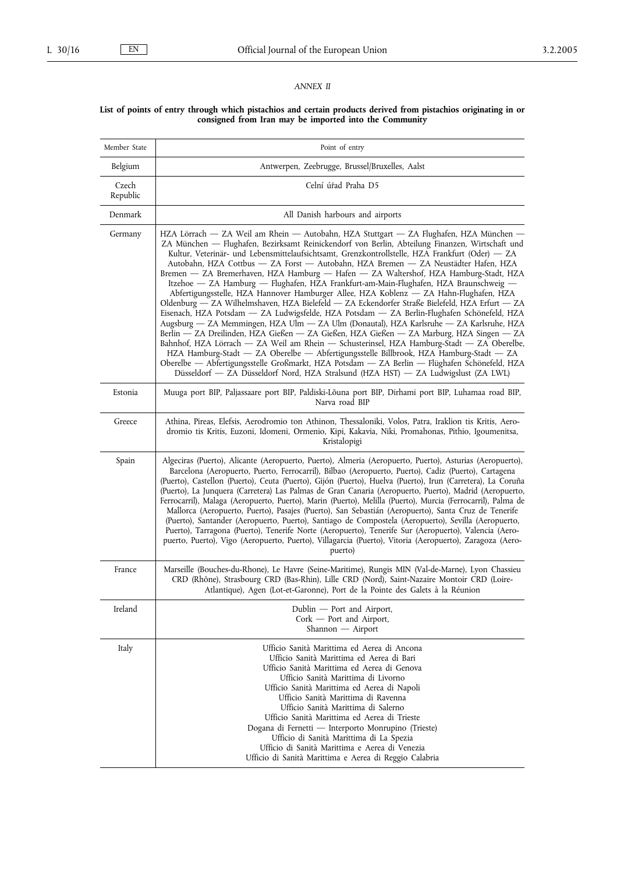# *ANNEX II*

#### **List of points of entry through which pistachios and certain products derived from pistachios originating in or consigned from Iran may be imported into the Community**

| Member State      | Point of entry                                                                                                                                                                                                                                                                                                                                                                                                                                                                                                                                                                                                                                                                                                                                                                                                                                                                                                                                                                                                                                                                                                                                                                                                                                                                                                                                                                                                                    |
|-------------------|-----------------------------------------------------------------------------------------------------------------------------------------------------------------------------------------------------------------------------------------------------------------------------------------------------------------------------------------------------------------------------------------------------------------------------------------------------------------------------------------------------------------------------------------------------------------------------------------------------------------------------------------------------------------------------------------------------------------------------------------------------------------------------------------------------------------------------------------------------------------------------------------------------------------------------------------------------------------------------------------------------------------------------------------------------------------------------------------------------------------------------------------------------------------------------------------------------------------------------------------------------------------------------------------------------------------------------------------------------------------------------------------------------------------------------------|
| Belgium           | Antwerpen, Zeebrugge, Brussel/Bruxelles, Aalst                                                                                                                                                                                                                                                                                                                                                                                                                                                                                                                                                                                                                                                                                                                                                                                                                                                                                                                                                                                                                                                                                                                                                                                                                                                                                                                                                                                    |
| Czech<br>Republic | Celní úřad Praha D5                                                                                                                                                                                                                                                                                                                                                                                                                                                                                                                                                                                                                                                                                                                                                                                                                                                                                                                                                                                                                                                                                                                                                                                                                                                                                                                                                                                                               |
| Denmark           | All Danish harbours and airports                                                                                                                                                                                                                                                                                                                                                                                                                                                                                                                                                                                                                                                                                                                                                                                                                                                                                                                                                                                                                                                                                                                                                                                                                                                                                                                                                                                                  |
| Germany           | HZA Lörrach — ZA Weil am Rhein — Autobahn, HZA Stuttgart — ZA Flughafen, HZA München —<br>ZA München — Flughafen, Bezirksamt Reinickendorf von Berlin, Abteilung Finanzen, Wirtschaft und<br>Kultur, Veterinär- und Lebensmittelaufsichtsamt, Grenzkontrollstelle, HZA Frankfurt (Oder) — ZA<br>Autobahn, HZA Cottbus - ZA Forst - Autobahn, HZA Bremen - ZA Neustädter Hafen, HZA<br>Bremen - ZA Bremerhaven, HZA Hamburg - Hafen - ZA Waltershof, HZA Hamburg-Stadt, HZA<br>Itzehoe - ZA Hamburg - Flughafen, HZA Frankfurt-am-Main-Flughafen, HZA Braunschweig -<br>Abfertigungsstelle, HZA Hannover Hamburger Allee, HZA Koblenz - ZA Hahn-Flughafen, HZA<br>Oldenburg - ZA Wilhelmshaven, HZA Bielefeld - ZA Eckendorfer Straße Bielefeld, HZA Erfurt - ZA<br>Eisenach, HZA Potsdam - ZA Ludwigsfelde, HZA Potsdam - ZA Berlin-Flughafen Schönefeld, HZA<br>Augsburg — ZA Memmingen, HZA Ulm — ZA Ulm (Donautal), HZA Karlsruhe — ZA Karlsruhe, HZA<br>Berlin - ZA Dreilinden, HZA Gießen - ZA Gießen, HZA Gießen - ZA Marburg, HZA Singen - ZA<br>Bahnhof, HZA Lörrach - ZA Weil am Rhein - Schusterinsel, HZA Hamburg-Stadt - ZA Oberelbe,<br>HZA Hamburg-Stadt — ZA Oberelbe — Abfertigungsstelle Billbrook, HZA Hamburg-Stadt — ZA<br>Oberelbe - Abfertigungsstelle Großmarkt, HZA Potsdam - ZA Berlin - Flüghafen Schönefeld, HZA<br>Düsseldorf - ZA Düsseldorf Nord, HZA Stralsund (HZA HST) - ZA Ludwigslust (ZA LWL) |
| Estonia           | Muuga port BIP, Paljassaare port BIP, Paldiski-Lõuna port BIP, Dirhami port BIP, Luhamaa road BIP,<br>Narva road BIP                                                                                                                                                                                                                                                                                                                                                                                                                                                                                                                                                                                                                                                                                                                                                                                                                                                                                                                                                                                                                                                                                                                                                                                                                                                                                                              |
| Greece            | Athina, Pireas, Elefsis, Aerodromio ton Athinon, Thessaloniki, Volos, Patra, Iraklion tis Kritis, Aero-<br>dromio tis Kritis, Euzoni, Idomeni, Ormenio, Kipi, Kakavia, Niki, Promahonas, Pithio, Igoumenitsa,<br>Kristalopigi                                                                                                                                                                                                                                                                                                                                                                                                                                                                                                                                                                                                                                                                                                                                                                                                                                                                                                                                                                                                                                                                                                                                                                                                     |
| Spain             | Algeciras (Puerto), Alicante (Aeropuerto, Puerto), Almeria (Aeropuerto, Puerto), Asturias (Aeropuerto),<br>Barcelona (Aeropuerto, Puerto, Ferrocarril), Bilbao (Aeropuerto, Puerto), Cadiz (Puerto), Cartagena<br>(Puerto), Castellon (Puerto), Ceuta (Puerto), Gijón (Puerto), Huelva (Puerto), Irun (Carretera), La Coruña<br>(Puerto), La Junquera (Carretera) Las Palmas de Gran Canaria (Aeropuerto, Puerto), Madrid (Aeropuerto,<br>Ferrocarril), Malaga (Aeropuerto, Puerto), Marin (Puerto), Melilla (Puerto), Murcia (Ferrocarril), Palma de<br>Mallorca (Aeropuerto, Puerto), Pasajes (Puerto), San Sebastián (Aeropuerto), Santa Cruz de Tenerife<br>(Puerto), Santander (Aeropuerto, Puerto), Santiago de Compostela (Aeropuerto), Sevilla (Aeropuerto,<br>Puerto), Tarragona (Puerto), Tenerife Norte (Aeropuerto), Tenerife Sur (Aeropuerto), Valencia (Aero-<br>puerto, Puerto), Vigo (Aeropuerto, Puerto), Villagarcia (Puerto), Vitoria (Aeropuerto), Zaragoza (Aero-<br>puerto)                                                                                                                                                                                                                                                                                                                                                                                                                                 |
| France            | Marseille (Bouches-du-Rhone), Le Havre (Seine-Maritime), Rungis MIN (Val-de-Marne), Lyon Chassieu<br>CRD (Rhône), Strasbourg CRD (Bas-Rhin), Lille CRD (Nord), Saint-Nazaire Montoir CRD (Loire-<br>Atlantique), Agen (Lot-et-Garonne), Port de la Pointe des Galets à la Réunion                                                                                                                                                                                                                                                                                                                                                                                                                                                                                                                                                                                                                                                                                                                                                                                                                                                                                                                                                                                                                                                                                                                                                 |
| Ireland           | Dublin - Port and Airport,<br>$Cork$ — Port and Airport,<br>Shannon — Airport                                                                                                                                                                                                                                                                                                                                                                                                                                                                                                                                                                                                                                                                                                                                                                                                                                                                                                                                                                                                                                                                                                                                                                                                                                                                                                                                                     |
| Italy             | Ufficio Sanità Marittima ed Aerea di Ancona<br>Ufficio Sanità Marittima ed Aerea di Bari<br>Ufficio Sanità Marittima ed Aerea di Genova<br>Ufficio Sanità Marittima di Livorno<br>Ufficio Sanità Marittima ed Aerea di Napoli<br>Ufficio Sanità Marittima di Ravenna<br>Ufficio Sanità Marittima di Salerno<br>Ufficio Sanità Marittima ed Aerea di Trieste<br>Dogana di Fernetti - Interporto Monrupino (Trieste)<br>Ufficio di Sanità Marittima di La Spezia<br>Ufficio di Sanità Marittima e Aerea di Venezia<br>Ufficio di Sanità Marittima e Aerea di Reggio Calabria                                                                                                                                                                                                                                                                                                                                                                                                                                                                                                                                                                                                                                                                                                                                                                                                                                                        |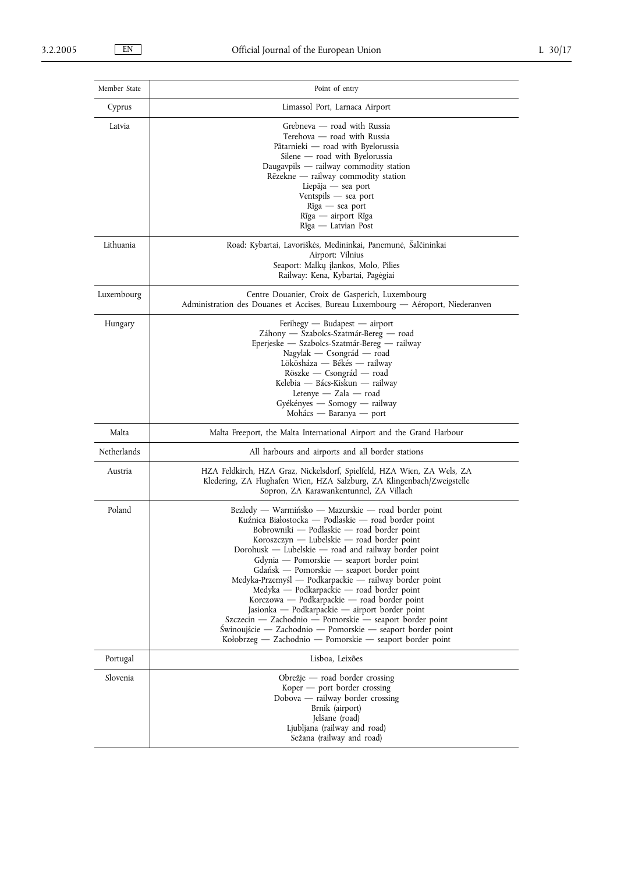| Member State | Point of entry                                                                                                                                                                                                                                                                                                                                                                                                                                                                                                                                                                                                                                                                                                                                          |
|--------------|---------------------------------------------------------------------------------------------------------------------------------------------------------------------------------------------------------------------------------------------------------------------------------------------------------------------------------------------------------------------------------------------------------------------------------------------------------------------------------------------------------------------------------------------------------------------------------------------------------------------------------------------------------------------------------------------------------------------------------------------------------|
| Cyprus       | Limassol Port, Larnaca Airport                                                                                                                                                                                                                                                                                                                                                                                                                                                                                                                                                                                                                                                                                                                          |
| Latvia       | Grebneva — road with Russia<br>Terehova — road with Russia<br>Pātarnieki — road with Byelorussia<br>Silene — road with Byelorussia<br>Daugavpils - railway commodity station<br>Rēzekne — railway commodity station<br>Liepāja — sea port<br>Ventspils — sea port<br>Rīga — sea port<br>Rīga — airport Rīga<br>Rīga — Latvian Post                                                                                                                                                                                                                                                                                                                                                                                                                      |
| Lithuania    | Road: Kybartai, Lavoriškės, Medininkai, Panemunė, Šalčininkai<br>Airport: Vilnius<br>Seaport: Malkų įlankos, Molo, Pilies<br>Railway: Kena, Kybartai, Pagėgiai                                                                                                                                                                                                                                                                                                                                                                                                                                                                                                                                                                                          |
| Luxembourg   | Centre Douanier, Croix de Gasperich, Luxembourg<br>Administration des Douanes et Accises, Bureau Luxembourg — Aéroport, Niederanven                                                                                                                                                                                                                                                                                                                                                                                                                                                                                                                                                                                                                     |
| Hungary      | $F$ erihegy — Budapest — airport<br>Záhony — Szabolcs-Szatmár-Bereg — road<br>Eperjeske — Szabolcs-Szatmár-Bereg — railway<br>Nagylak — Csongrád — road<br>Lökösháza — Békés — railway<br>Röszke — Csongrád — road<br>Kelebia — Bács-Kiskun — railway<br>Letenye $-$ Zala $-$ road<br>Gyékényes — Somogy — railway<br>Mohács — Baranya — port                                                                                                                                                                                                                                                                                                                                                                                                           |
| Malta        | Malta Freeport, the Malta International Airport and the Grand Harbour                                                                                                                                                                                                                                                                                                                                                                                                                                                                                                                                                                                                                                                                                   |
| Netherlands  | All harbours and airports and all border stations                                                                                                                                                                                                                                                                                                                                                                                                                                                                                                                                                                                                                                                                                                       |
| Austria      | HZA Feldkirch, HZA Graz, Nickelsdorf, Spielfeld, HZA Wien, ZA Wels, ZA<br>Kledering, ZA Flughafen Wien, HZA Salzburg, ZA Klingenbach/Zweigstelle<br>Sopron, ZA Karawankentunnel, ZA Villach                                                                                                                                                                                                                                                                                                                                                                                                                                                                                                                                                             |
| Poland       | Bezledy — Warmińsko — Mazurskie — road border point<br>Kuźnica Białostocka — Podlaskie — road border point<br>Bobrowniki — Podlaskie — road border point<br>$K$ oroszczyn — Lubelskie — road border point<br>Dorohusk - Lubelskie - road and railway border point<br>Gdynia — Pomorskie — seaport border point<br>Gdańsk — Pomorskie — seaport border point<br>Medyka-Przemyśl — Podkarpackie — railway border point<br>Medyka — Podkarpackie — road border point<br>Korczowa — Podkarpackie — road border point<br>Jasionka — Podkarpackie — airport border point<br>Szczecin — Zachodnio — Pomorskie — seaport border point<br>Świnoujście — Zachodnio — Pomorskie — seaport border point<br>Kołobrzeg — Zachodnio — Pomorskie — seaport border point |
| Portugal     | Lisboa, Leixões                                                                                                                                                                                                                                                                                                                                                                                                                                                                                                                                                                                                                                                                                                                                         |
| Slovenia     | Obrežje — road border crossing<br>$Koper$ – port border crossing<br>$Dobova$ — railway border crossing<br>Brnik (airport)<br>Jelšane (road)<br>Ljubljana (railway and road)<br>Sežana (railway and road)                                                                                                                                                                                                                                                                                                                                                                                                                                                                                                                                                |